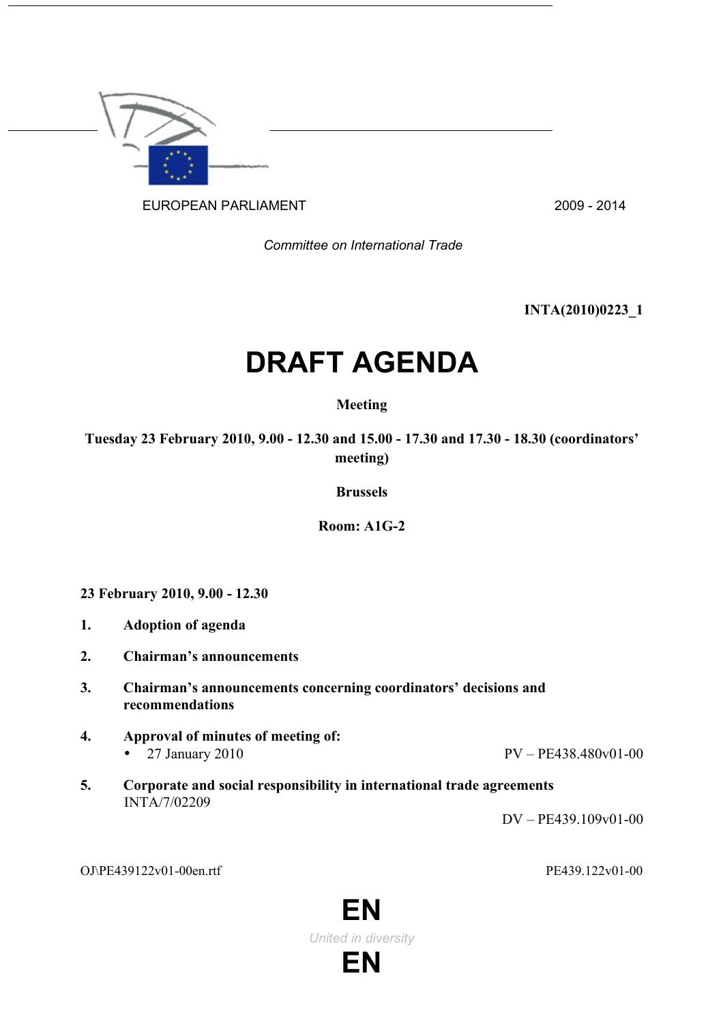

EUROPEAN PARLIAMENT 2009 - 2014

*Committee on International Trade*

**INTA(2010)0223\_1**

# **DRAFT AGENDA**

## **Meeting**

**Tuesday 23 February 2010, 9.00 - 12.30 and 15.00 - 17.30 and 17.30 - 18.30 (coordinators' meeting)**

**Brussels**

**Room: A1G-2**

**23 February 2010, 9.00 - 12.30**

- **1. Adoption of agenda**
- **2. Chairman's announcements**
- **3. Chairman's announcements concerning coordinators' decisions and recommendations**
- **4. Approval of minutes of meeting of:** • 27 January 2010 PV – PE438.480v01-00
	-
- **5. Corporate and social responsibility in international trade agreements** INTA/7/02209

DV – PE439.109v01-00

OJ\PE439122v01-00en.rtf PE439.122v01-00

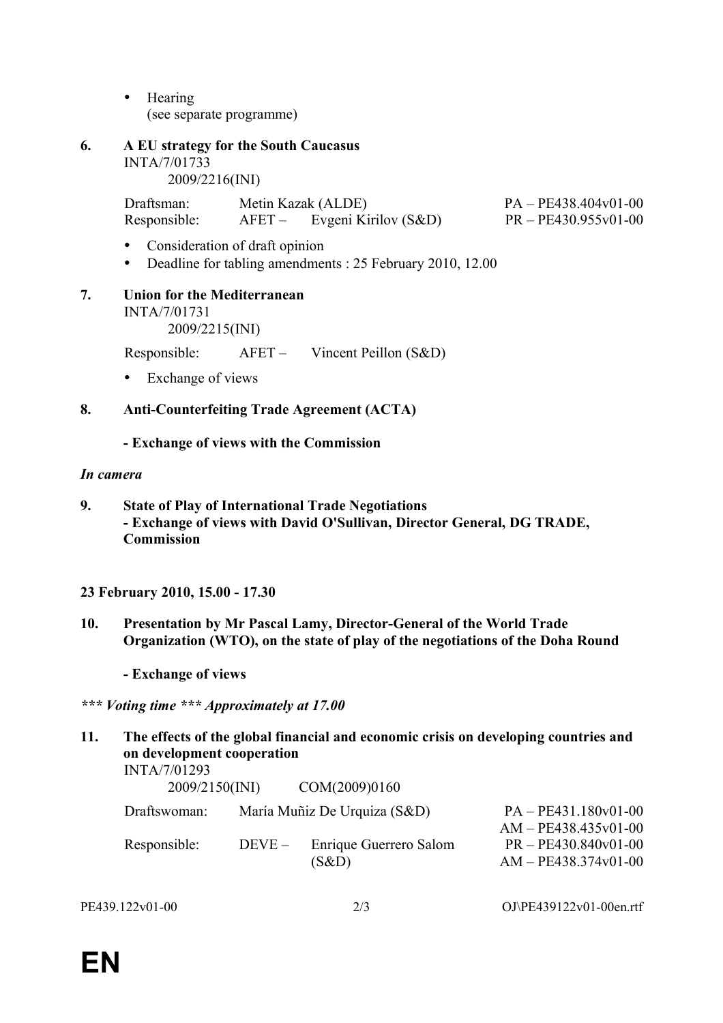- Hearing (see separate programme)
- **6. A EU strategy for the South Caucasus** INTA/7/01733 2009/2216(INI)

Draftsman: Metin Kazak (ALDE) PA – PE438.404v01-00 Responsible: AFET – Evgeni Kirilov (S&D) PR – PE430.955v01-00

- Consideration of draft opinion
- Deadline for tabling amendments : 25 February 2010, 12.00
- **7. Union for the Mediterranean** INTA/7/01731 2009/2215(INI)

Responsible: AFET – Vincent Peillon (S&D)

• Exchange of views

# **8. Anti-Counterfeiting Trade Agreement (ACTA)**

**- Exchange of views with the Commission**

#### *In camera*

**9. State of Play of International Trade Negotiations - Exchange of views with David O'Sullivan, Director General, DG TRADE, Commission**

### **23 February 2010, 15.00 - 17.30**

**10. Presentation by Mr Pascal Lamy, Director-General of the World Trade Organization (WTO), on the state of play of the negotiations of the Doha Round**

**- Exchange of views** 

*\*\*\* Voting time \*\*\* Approximately at 17.00*

| 11. | The effects of the global financial and economic crisis on developing countries and<br>on development cooperation<br>INTA/7/01293 |         |                                 |                                                  |  |  |  |
|-----|-----------------------------------------------------------------------------------------------------------------------------------|---------|---------------------------------|--------------------------------------------------|--|--|--|
|     | 2009/2150(INI)                                                                                                                    |         | COM(2009)0160                   |                                                  |  |  |  |
|     | Draftswoman:                                                                                                                      |         | María Muñiz De Urquiza (S&D)    | $PA - PE431.180v01-00$<br>$AM - PE438.435v01-00$ |  |  |  |
|     | Responsible:                                                                                                                      | $DEVE-$ | Enrique Guerrero Salom<br>(S&D) | PR-PE430.840v01-00<br>AM - PE438.374v01-00       |  |  |  |